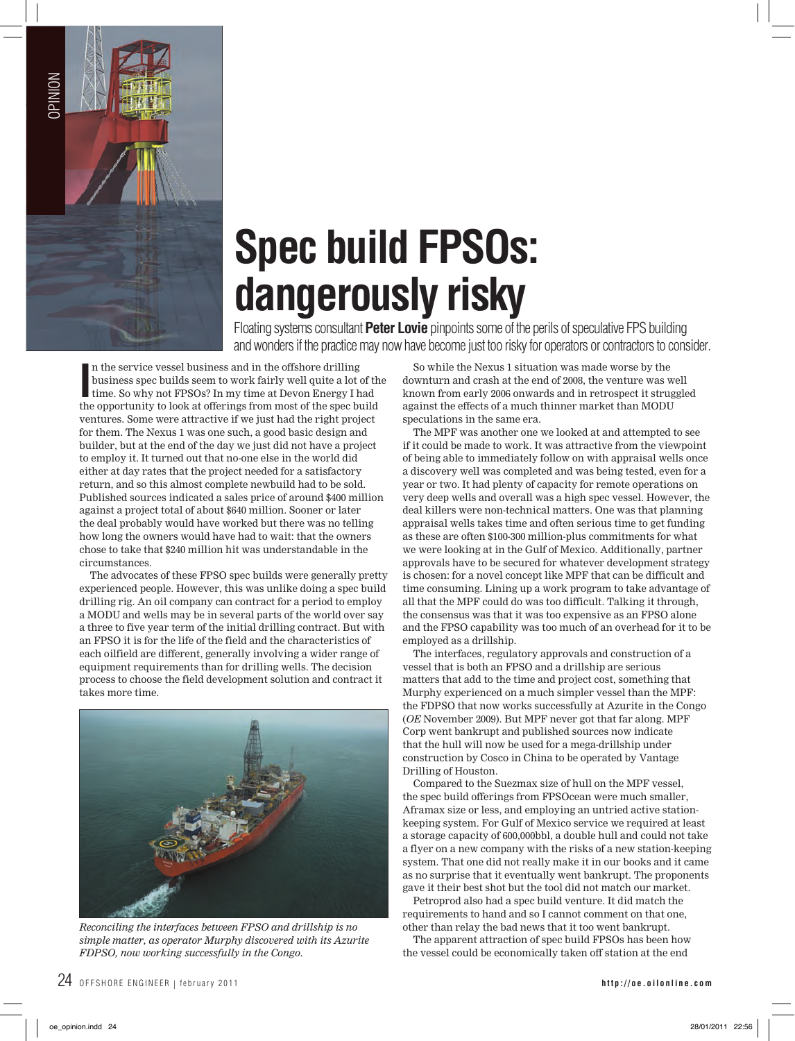

## **Spec build FPSOs: dangerously risky**

Floating systems consultant **Peter Lovie** pinpoints some of the perils of speculative FPS building and wonders if the practice may now have become just too risky for operators or contractors to consider.

In the service vessel business and in the offshore drilling<br>business spec builds seem to work fairly well quite a lot of the<br>time. So why not FPSOs? In my time at Devon Energy I had<br>the opportunity to look at offerings fro n the service vessel business and in the offshore drilling business spec builds seem to work fairly well quite a lot of the time. So why not FPSOs? In my time at Devon Energy I had ventures. Some were attractive if we just had the right project for them. The Nexus 1 was one such, a good basic design and builder, but at the end of the day we just did not have a project to employ it. It turned out that no-one else in the world did either at day rates that the project needed for a satisfactory return, and so this almost complete newbuild had to be sold. Published sources indicated a sales price of around \$400 million against a project total of about \$640 million. Sooner or later the deal probably would have worked but there was no telling how long the owners would have had to wait: that the owners chose to take that \$240 million hit was understandable in the circumstances.

 The advocates of these FPSO spec builds were generally pretty experienced people. However, this was unlike doing a spec build drilling rig. An oil company can contract for a period to employ a MODU and wells may be in several parts of the world over say a three to five year term of the initial drilling contract. But with an FPSO it is for the life of the field and the characteristics of each oilfield are different, generally involving a wider range of equipment requirements than for drilling wells. The decision process to choose the field development solution and contract it takes more time.



*Reconciling the interfaces between FPSO and drillship is no simple matter, as operator Murphy discovered with its Azurite FDPSO, now working successfully in the Congo.*

 So while the Nexus 1 situation was made worse by the downturn and crash at the end of 2008, the venture was well known from early 2006 onwards and in retrospect it struggled against the effects of a much thinner market than MODU speculations in the same era.

The MPF was another one we looked at and attempted to see if it could be made to work. It was attractive from the viewpoint of being able to immediately follow on with appraisal wells once a discovery well was completed and was being tested, even for a year or two. It had plenty of capacity for remote operations on very deep wells and overall was a high spec vessel. However, the deal killers were non-technical matters. One was that planning appraisal wells takes time and often serious time to get funding as these are often \$100-300 million-plus commitments for what we were looking at in the Gulf of Mexico. Additionally, partner approvals have to be secured for whatever development strategy is chosen: for a novel concept like MPF that can be difficult and time consuming. Lining up a work program to take advantage of all that the MPF could do was too difficult. Talking it through, the consensus was that it was too expensive as an FPSO alone and the FPSO capability was too much of an overhead for it to be employed as a drillship.

The interfaces, regulatory approvals and construction of a vessel that is both an FPSO and a drillship are serious matters that add to the time and project cost, something that Murphy experienced on a much simpler vessel than the MPF: the FDPSO that now works successfully at Azurite in the Congo (*OE* November 2009). But MPF never got that far along. MPF Corp went bankrupt and published sources now indicate that the hull will now be used for a mega-drillship under construction by Cosco in China to be operated by Vantage Drilling of Houston.

Compared to the Suezmax size of hull on the MPF vessel, the spec build offerings from FPSOcean were much smaller, Aframax size or less, and employing an untried active stationkeeping system. For Gulf of Mexico service we required at least a storage capacity of 600,000bbl, a double hull and could not take a flyer on a new company with the risks of a new station-keeping system. That one did not really make it in our books and it came as no surprise that it eventually went bankrupt. The proponents gave it their best shot but the tool did not match our market.

 Petroprod also had a spec build venture. It did match the requirements to hand and so I cannot comment on that one, other than relay the bad news that it too went bankrupt.

The apparent attraction of spec build FPSOs has been how the vessel could be economically taken off station at the end